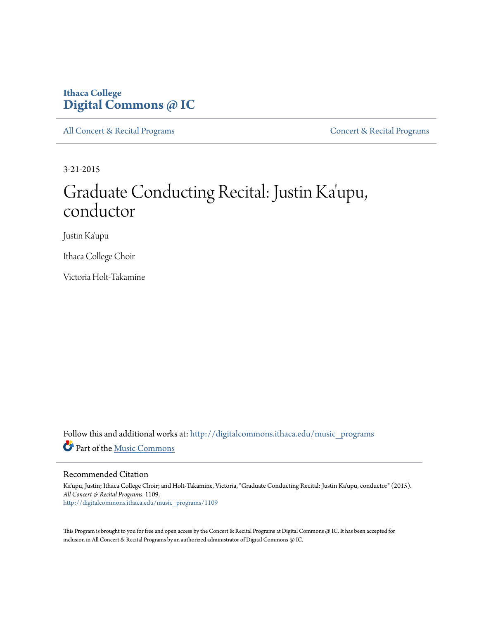## **Ithaca College [Digital Commons @ IC](http://digitalcommons.ithaca.edu?utm_source=digitalcommons.ithaca.edu%2Fmusic_programs%2F1109&utm_medium=PDF&utm_campaign=PDFCoverPages)**

[All Concert & Recital Programs](http://digitalcommons.ithaca.edu/music_programs?utm_source=digitalcommons.ithaca.edu%2Fmusic_programs%2F1109&utm_medium=PDF&utm_campaign=PDFCoverPages) **[Concert & Recital Programs](http://digitalcommons.ithaca.edu/som_programs?utm_source=digitalcommons.ithaca.edu%2Fmusic_programs%2F1109&utm_medium=PDF&utm_campaign=PDFCoverPages)** 

3-21-2015

# Graduate Conducting Recital: Justin Ka ' upu, conductor

Justin Ka'upu

Ithaca College Choir

Victoria Holt-Takamine

Follow this and additional works at: [http://digitalcommons.ithaca.edu/music\\_programs](http://digitalcommons.ithaca.edu/music_programs?utm_source=digitalcommons.ithaca.edu%2Fmusic_programs%2F1109&utm_medium=PDF&utm_campaign=PDFCoverPages) Part of the [Music Commons](http://network.bepress.com/hgg/discipline/518?utm_source=digitalcommons.ithaca.edu%2Fmusic_programs%2F1109&utm_medium=PDF&utm_campaign=PDFCoverPages)

#### Recommended Citation

Ka'upu, Justin; Ithaca College Choir; and Holt-Takamine, Victoria, "Graduate Conducting Recital: Justin Ka'upu, conductor" (2015). *All Concert & Recital Programs*. 1109. [http://digitalcommons.ithaca.edu/music\\_programs/1109](http://digitalcommons.ithaca.edu/music_programs/1109?utm_source=digitalcommons.ithaca.edu%2Fmusic_programs%2F1109&utm_medium=PDF&utm_campaign=PDFCoverPages)

This Program is brought to you for free and open access by the Concert & Recital Programs at Digital Commons @ IC. It has been accepted for inclusion in All Concert & Recital Programs by an authorized administrator of Digital Commons @ IC.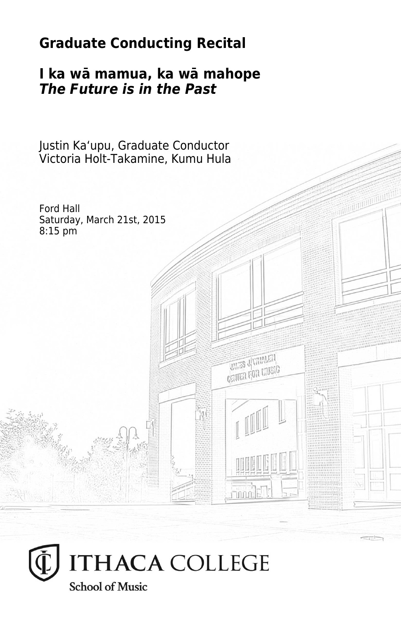# **Graduate Conducting Recital**

### **I ka wā mamua, ka wā mahope** *The Future is in the Past*

Justin Kaʻupu, Graduate Conductor Victoria Holt-Takamine, Kumu Hula

Ford Hall Saturday, March 21st, 2015 8:15 pm**THES JUMPLEY CRITER FOR LIVEIG Finnals**